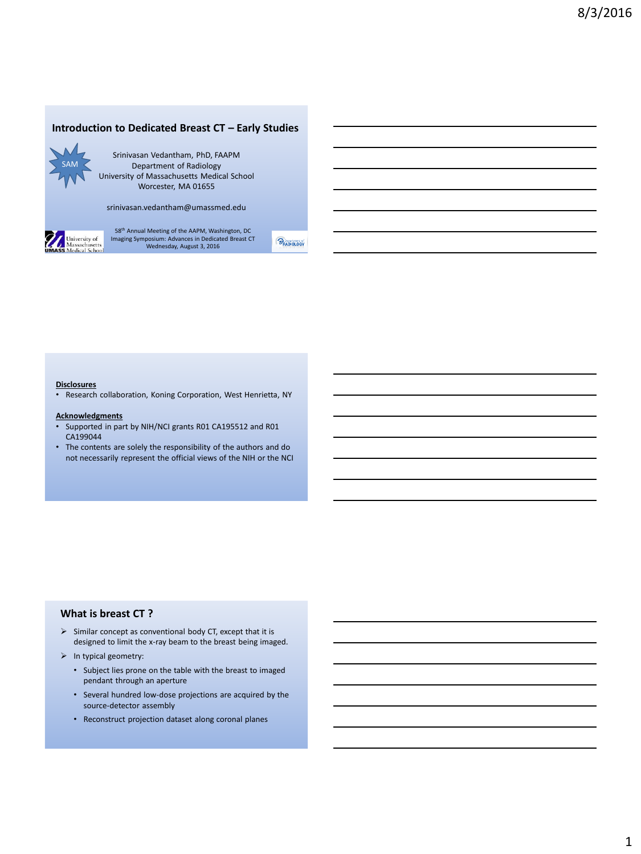## **Introduction to Dedicated Breast CT – Early Studies**



Srinivasan Vedantham, PhD, FAAPM Department of Radiology University of Massachusetts Medical School Worcester, MA 01655

srinivasan.vedantham@umassmed.edu



58th Annual Meeting of the AAPM, Washington, DC Imaging Symposium: Advances in Dedicated Breast CT Wednesday, August 3, 2016

 $\odot_{\text{RADIOLOGY}}$ 

### **Disclosures**

• Research collaboration, Koning Corporation, West Henrietta, NY

#### **Acknowledgments**

- Supported in part by NIH/NCI grants R01 CA195512 and R01 CA199044
- The contents are solely the responsibility of the authors and do not necessarily represent the official views of the NIH or the NCI

## **What is breast CT ?**

- $\triangleright$  Similar concept as conventional body CT, except that it is designed to limit the x-ray beam to the breast being imaged.
- $\triangleright$  In typical geometry:
	- Subject lies prone on the table with the breast to imaged pendant through an aperture
	- Several hundred low-dose projections are acquired by the source-detector assembly
	- Reconstruct projection dataset along coronal planes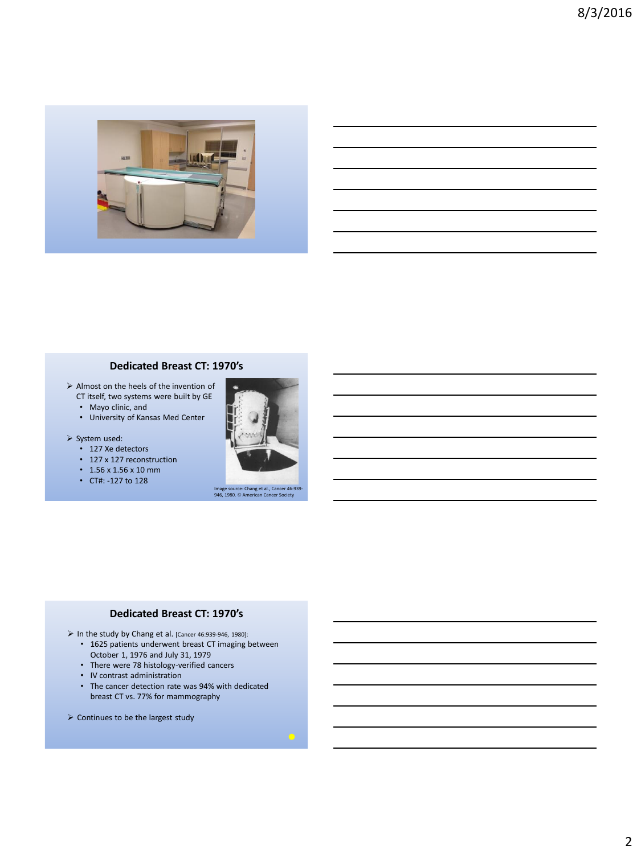

## **Dedicated Breast CT: 1970's**

- Almost on the heels of the invention of CT itself, two systems were built by GE
	- Mayo clinic, and
	- University of Kansas Med Center
- $\triangleright$  System used:
	- 127 Xe detectors
	- 127 x 127 reconstruction
	- 1.56 x 1.56 x 10 mm
	- CT#: -127 to 128



Image source: Chang et al., Cancer 46:939-<br>946, 1980. © American Cancer Society

## **Dedicated Breast CT: 1970's**

- In the study by Chang et al. [Cancer 46:939-946, 1980]:
	- 1625 patients underwent breast CT imaging between October 1, 1976 and July 31, 1979
	- There were 78 histology-verified cancers
	- IV contrast administration
	- The cancer detection rate was 94% with dedicated breast CT vs. 77% for mammography
- $\triangleright$  Continues to be the largest study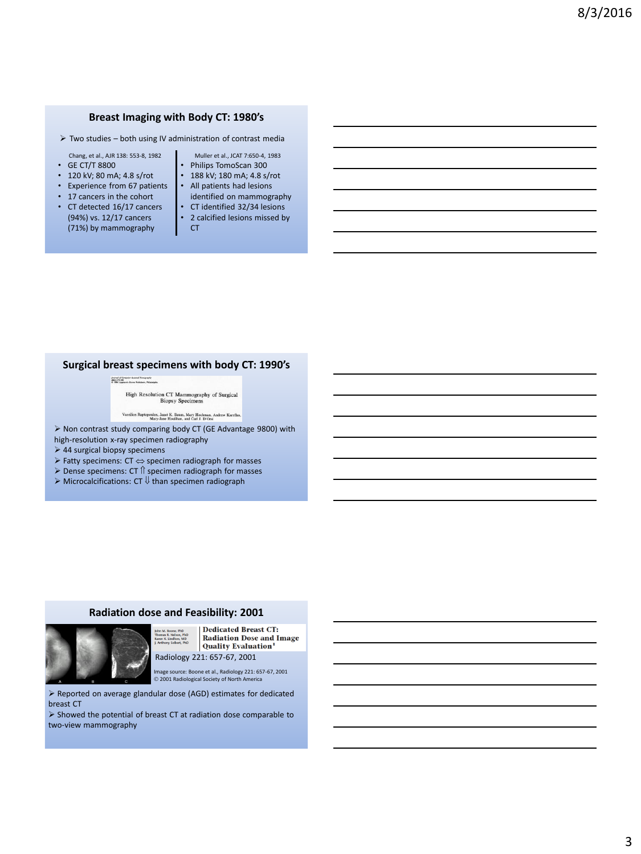## **Breast Imaging with Body CT: 1980's**

- $\triangleright$  Two studies both using IV administration of contrast media
- Chang, et al., AJR 138: 553-8, 1982
- GE CT/T 8800
- 120 kV; 80 mA; 4.8 s/rot
- Experience from 67 patients
- 17 cancers in the cohort
- CT detected 16/17 cancers (94%) vs. 12/17 cancers (71%) by mammography
- Muller et al., JCAT 7:650-4, 1983
- Philips TomoScan 300 • 188 kV; 180 mA; 4.8 s/rot
- All patients had lesions
	- identified on mammography
- CT identified 32/34 lesions
- 2 calcified lesions missed by **CT**

### **Surgical breast specimens with body CT: 1990's**

**Zeamel of Company Azzized Tomography<br>2022: Th-SM<br>0 1996 Lippinont Baren Publishers, Philadelphia** 

High Resolution CT Mammography of Surgical<br>Biopsy Specimens

Vassilios Raptopoulos, Janet K. Baum, Mary Hochman, Andrew Karellas.<br>Mary-Jane Houlihan, and Carl J. D'Orsi

 Non contrast study comparing body CT (GE Advantage 9800) with high-resolution x-ray specimen radiography

- $>$  44 surgical biopsy specimens
- $\triangleright$  Fatty specimens: CT  $\Leftrightarrow$  specimen radiograph for masses
- $\triangleright$  Dense specimens: CT  $\Uparrow$  specimen radiograph for masses
- $\triangleright$  Microcalcifications: CT  $\Downarrow$  than specimen radiograph
- 

### **Radiation dose and Feasibility: 2001**



**Dedicated Breast CT: Radiation Dose and Image** Undfors, MD<br>y Seibert, PhD **Quality Evaluation**<sup>1</sup> Radiology 221: 657-67, 2001

Image source: Boone et al., Radiology 221: 657-67, 2001 2001 Radiological Society of North America

 Reported on average glandular dose (AGD) estimates for dedicated breast CT

 $\triangleright$  Showed the potential of breast CT at radiation dose comparable to two-view mammography